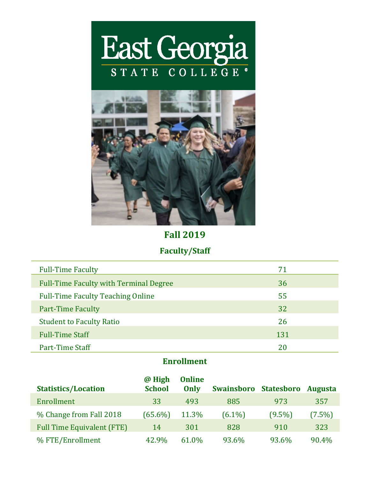



### **Fall 2019**

## **Faculty/Staff**

| <b>Full-Time Faculty</b>                      | 71  |
|-----------------------------------------------|-----|
| <b>Full-Time Faculty with Terminal Degree</b> | 36  |
| <b>Full-Time Faculty Teaching Online</b>      | 55  |
| <b>Part-Time Faculty</b>                      | 32  |
| <b>Student to Faculty Ratio</b>               | 26  |
| <b>Full-Time Staff</b>                        | 131 |
| Part-Time Staff                               | 20  |

# **Enrollment**

|                                   | @ High        | <b>Online</b> |                   |                   |                |
|-----------------------------------|---------------|---------------|-------------------|-------------------|----------------|
| <b>Statistics/Location</b>        | <b>School</b> | Only          | <b>Swainsboro</b> | <b>Statesboro</b> | <b>Augusta</b> |
| Enrollment                        | 33            | 493           | 885               | 973               | 357            |
| % Change from Fall 2018           | $(65.6\%)$    | 11.3%         | $(6.1\%)$         | $(9.5\%)$         | $(7.5\%)$      |
| <b>Full Time Equivalent (FTE)</b> | 14            | 301           | 828               | 910               | 323            |
| % FTE/Enrollment                  | 42.9%         | 61.0%         | 93.6%             | 93.6%             | 90.4%          |